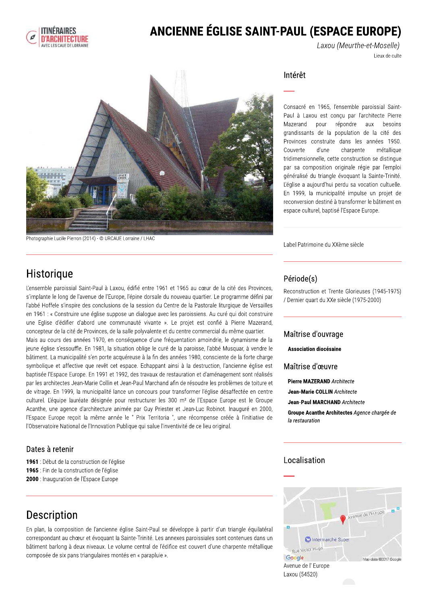

## ANCIENNE ÉGLISE SAINT-PAUL (ESPACE EUROPE)

Laxou (Meurthe-et-Moselle) Lieux de culte



Photographie Lucile Pierron (2014) - @ URCAUE Lorraine / LHAC

Intérêt

Consacré en 1965, l'ensemble paroissial Saint-Paul à Laxou est conçu par l'architecte Pierre répondre Mazerand pour aux besoins grandissants de la population de la cité des Provinces construite dans les années 1950. charpente Couverte d'une métallique tridimensionnelle, cette construction se distingue par sa composition originale régie par l'emploi généralisé du triangle évoquant la Sainte-Trinité. L'église a aujourd'hui perdu sa vocation cultuelle. En 1999, la municipalité impulse un projet de reconversion destiné à transformer le bâtiment en espace culturel, baptisé l'Espace Europe.

Label Patrimoine du XXème siècle

## Historique

L'ensemble paroissial Saint-Paul à Laxou, édifié entre 1961 et 1965 au cœur de la cité des Provinces, s'implante le long de l'avenue de l'Europe, l'épine dorsale du nouveau quartier. Le programme défini par l'abbé Hoffele s'inspire des conclusions de la session du Centre de la Pastorale liturgique de Versailles en 1961 : « Construire une église suppose un dialogue avec les paroissiens. Au curé qui doit construire une Eglise d'édifier d'abord une communauté vivante ». Le projet est confié à Pierre Mazerand, concepteur de la cité de Provinces, de la salle polyvalente et du centre commercial du même quartier.

Mais au cours des années 1970, en conséquence d'une fréquentation amoindrie, le dynamisme de la jeune église s'essouffle. En 1981, la situation oblige le curé de la paroisse, l'abbé Musquar, à vendre le bâtiment. La municipalité s'en porte acquéreuse à la fin des années 1980, consciente de la forte charge symbolique et affective que revêt cet espace. Echappant ainsi à la destruction, l'ancienne église est baptisée l'Espace Europe. En 1991 et 1992, des travaux de restauration et d'aménagement sont réalisés par les architectes Jean-Marie Collin et Jean-Paul Marchand afin de résoudre les problèmes de toiture et de vitrage. En 1999, la municipalité lance un concours pour transformer l'église désaffectée en centre culturel. L'équipe lauréate désignée pour restructurer les 300 m<sup>2</sup> de l'Espace Europe est le Groupe Acanthe, une agence d'architecture animée par Guy Priester et Jean-Luc Robinot. Inauguré en 2000, l'Espace Europe reçoit la même année le " Prix Territoria ", une récompense créée à l'initiative de l'Observatoire National de l'Innovation Publique qui salue l'inventivité de ce lieu original.

### Dates à retenir

1961 : Début de la construction de l'église 1965 : Fin de la construction de l'église 2000 : Inauguration de l'Espace Europe

## Description

En plan, la composition de l'ancienne église Saint-Paul se développe à partir d'un triangle équilatéral correspondant au chœur et évoquant la Sainte-Trinité. Les annexes paroissiales sont contenues dans un bâtiment barlong à deux niveaux. Le volume central de l'édifice est couvert d'une charpente métallique composée de six pans triangulaires montés en « parapluie ».

### Période(s)

Reconstruction et Trente Glorieuses (1945-1975) / Dernier quart du XXe siècle (1975-2000)

#### Maîtrise d'ouvrage

#### Association diocésaine

Maîtrise d'œuvre

- **Pierre MAZERAND Architecte**
- Jean-Marie COLLIN Architecte
- **Jean-Paul MARCHAND Architecte**

Groupe Acanthe Architectes Agence chargée de la restauration

### Localisation

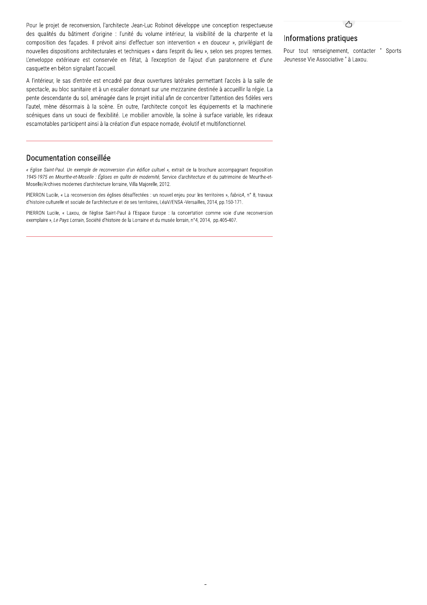Pour le projet de reconversion, l'architecte Jean-Luc Robinot développe une conception respectueuse des qualités du bâtiment d'origine : l'unité du volume intérieur, la visibilité de la charpente et la composition des façades. Il prévoit ainsi d'effectuer son intervention « en douceur », privilégiant de nouvelles dispositions architecturales et techniques « dans l'esprit du lieu », selon ses propres termes. L'enveloppe extérieure est conservée en l'état, à l'exception de l'ajout d'un paratonnerre et d'une casquette en béton signalant l'accueil.

A l'intérieur, le sas d'entrée est encadré par deux ouvertures latérales permettant l'accès à la salle de spectacle, au bloc sanitaire et à un escalier donnant sur une mezzanine destinée à accueillir la régie. La pente descendante du sol, aménagée dans le projet initial afin de concentrer l'attention des fidèles vers l'autel, mène désormais à la scène. En outre, l'architecte conçoit les équipements et la machinerie scéniques dans un souci de flexibilité. Le mobilier amovible, la scène à surface variable, les rideaux escamotables participent ainsi à la création d'un espace nomade, évolutif et multifonctionnel.

#### Documentation conseillée

« Eglise Saint-Paul. Un exemple de reconversion d'un édifice cultuel », extrait de la brochure accompagnant l'exposition 1945-1975 en Meurthe-et-Moselle : Églises en quête de modernité, Service d'architecture et du patrimoine de Meurthe-et-Moselle/Archives modernes d'architecture lorraine, Villa Majorelle, 2012.

PIERRON Lucile, « La reconversion des églises désaffectées : un nouvel enjeu pour les territoires », fabricA, n° 8, travaux d'histoire culturelle et sociale de l'architecture et de ses territoires. LéaV/ENSA -Versailles. 2014. pp.150-171.

PIERRON Lucile, « Laxou, de l'église Saint-Paul à l'Espace Europe : la concertation comme voie d'une reconversion exemplaire », Le Pays Lorrain, Société d'histoire de la Lorraine et du musée lorrain, n°4, 2014, pp.405-407.

#### Informations pratiques

Pour tout renseignement, contacter " Sports Jeunesse Vie Associative " à Laxou.

 $\bigwedge$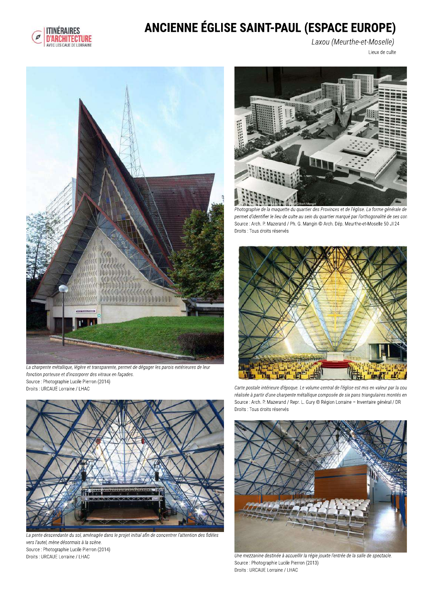

# ANCIENNE ÉGLISE SAINT-PAUL (ESPACE EUROPE)

Laxou (Meurthe-et-Moselle)

Lieux de culte



La charpente métallique, légère et transparente, permet de dégager les parois extérieures de leur fonction porteuse et d'incorporer des vitraux en façades. Source : Photographie Lucile Pierron (2014) Droits : URCAUE Lorraine / LHAC



La pente descendante du sol, aménagée dans le projet initial afin de concentrer l'attention des fidèles vers l'autel, mène désormais à la scène. Source : Photographie Lucile Pierron (2014) Droits : URCAUE Lorraine / LHAC



.<br>hie de la maquette du quartier des Provinces et de l'église. La forme générale de permet d'identifier le lieu de culte au sein du quartier marqué par l'orthogonalité de ses con Source : Arch. P. Mazerand / Ph. G. Mangin @ Arch. Dép. Meurthe-et-Moselle 50 JI 24 Droits : Tous droits réservés



Carte postale intérieure d'époque. Le volume central de l'église est mis en valeur par la cou réalisée à partir d'une charpente métallique composée de six pans triangulaires montés en Source : Arch. P. Mazerand / Repr. L. Gury @ Région Lorraine - Inventaire général / DR Droits : Tous droits réservés



Une mezzanine destinée à accueillir la régie jouxte l'entrée de la salle de spectacle. Source : Photographie Lucile Pierron (2013) Droits : URCAUE Lorraine / LHAC